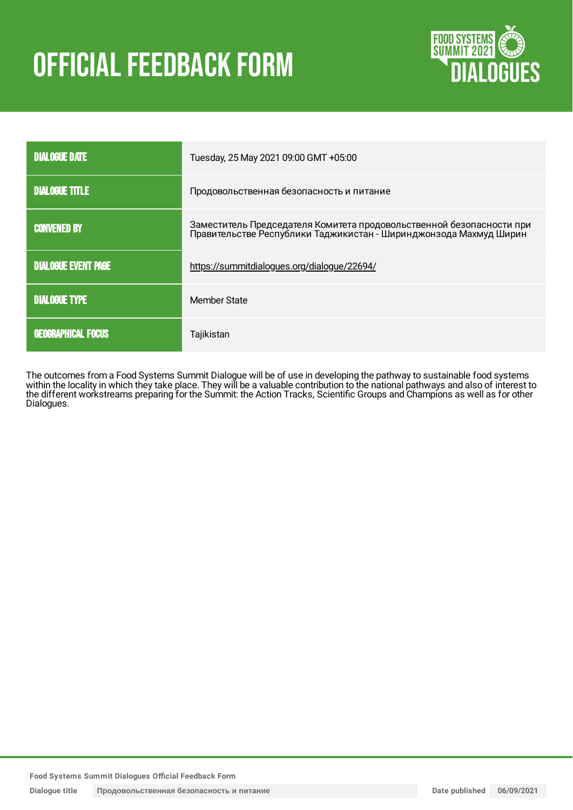# OFFICIAL FEEDBACK FORM



| <b>DIALOGUE DATE</b>       | Tuesday, 25 May 2021 09:00 GMT +05:00                                                                                                     |
|----------------------------|-------------------------------------------------------------------------------------------------------------------------------------------|
| <b>DIALOGUE TITLE</b>      | Продовольственная безопасность и питание                                                                                                  |
| <b>CONVENED BY</b>         | Заместитель Председателя Комитета продовольственной безопасности при<br>Правительстве Республики Таджикистан - Ширинджонзода Махмуд Ширин |
| <b>DIALOGUE EVENT PAGE</b> | https://summitdialogues.org/dialogue/22694/                                                                                               |
| <b>DIALOGUE TYPE</b>       | Member State                                                                                                                              |
| <b>GEOGRAPHICAL FOCUS</b>  | Tajikistan                                                                                                                                |

The outcomes from a Food Systems Summit Dialogue will be of use in developing the pathway to sustainable food systems within the locality in which they take place. They will be a valuable contribution to the national pathways and also of interest to the different workstreams preparing for the Summit: the Action Tracks, Scientific Groups and Champions as well as for other Dialogues.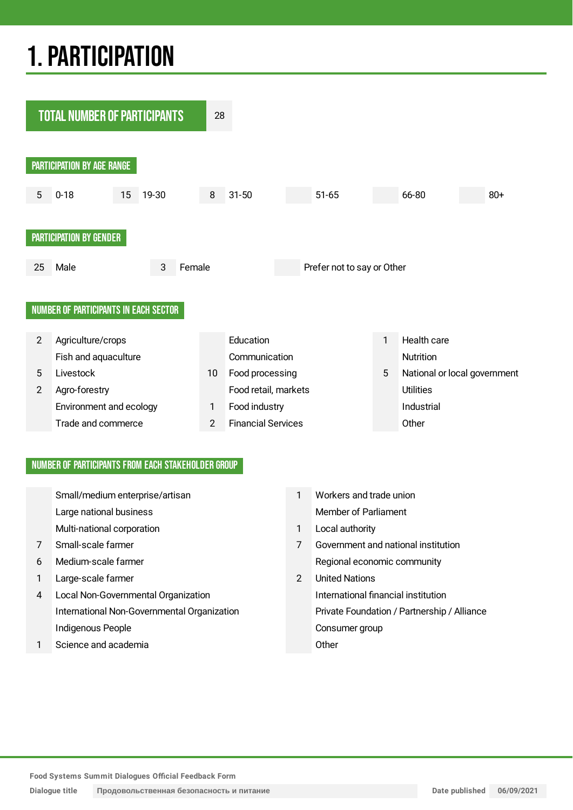## 1.PARTICIPATION



#### NUMBER OF PARTICIPANTS FROM EACH STAKEHOLDER GROUP

|   | Small/medium enterprise/artisan             | 1              | Workers and trade union                     |
|---|---------------------------------------------|----------------|---------------------------------------------|
|   | Large national business                     |                | <b>Member of Parliament</b>                 |
|   | Multi-national corporation                  | 1              | Local authority                             |
| 7 | Small-scale farmer                          | 7              | Government and national institution         |
| 6 | Medium-scale farmer                         |                | Regional economic community                 |
| 1 | Large-scale farmer                          | $\overline{2}$ | <b>United Nations</b>                       |
| 4 | Local Non-Governmental Organization         |                | International financial institution         |
|   | International Non-Governmental Organization |                | Private Foundation / Partnership / Alliance |
|   | Indigenous People                           |                | Consumer group                              |
| 1 | Science and academia                        |                | Other                                       |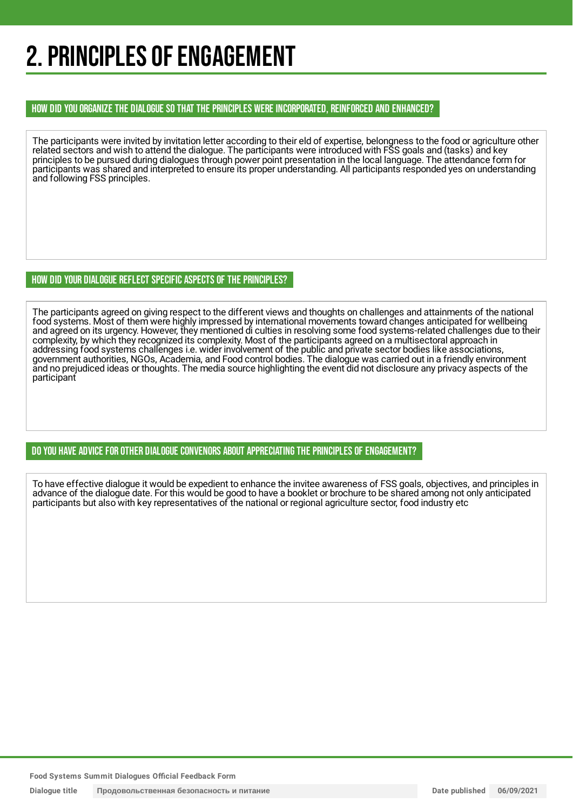## 2. PRINCIPLES OF ENGAGEMENT

#### HOW DID YOU ORGANIZE THE DIALOGUE SO THAT THE PRINCIPLES WERE INCORPORATED, REINFORCED AND ENHANCED?

The participants were invited by invitation letter according to their eld of expertise, belongness to the food or agriculture other related sectors and wish to attend the dialogue. The participants were introduced with FSS goals and (tasks) and key principles to be pursued during dialogues through power point presentation in the local language. The attendance form for participants was shared and interpreted to ensure its proper understanding. All participants responded yes on understanding and following FSS principles.

#### HOW DID YOUR DIALOGUE REFLECT SPECIFIC ASPECTS OF THE PRINCIPLES?

The participants agreed on giving respect to the different views and thoughts on challenges and attainments of the national food systems. Most of them were highly impressed by international movements toward changes anticipated for wellbeing and agreed on its urgency. However, they mentioned di culties in resolving some food systems-related challenges due to their complexity, by which they recognized its complexity. Most of the participants agreed on a multisectoral approach in addressing food systems challenges i.e. wider involvement of the public and private sector bodies like associations, government authorities, NGOs, Academia, and Food control bodies. The dialogue was carried out in a friendly environment and no prejudiced ideas or thoughts. The media source highlighting the event did not disclosure any privacy aspects of the participant

#### DO YOU HAVE ADVICE FOR OTHER DIALOGUE CONVENORS ABOUT APPRECIATINGTHE PRINCIPLES OF ENGAGEMENT?

To have effective dialogue it would be expedient to enhance the invitee awareness of FSS goals, objectives, and principles in advance of the dialogue date. For this would be good to have a booklet or brochure to be shared among not only anticipated participants but also with key representatives of the national or regional agriculture sector, food industry etc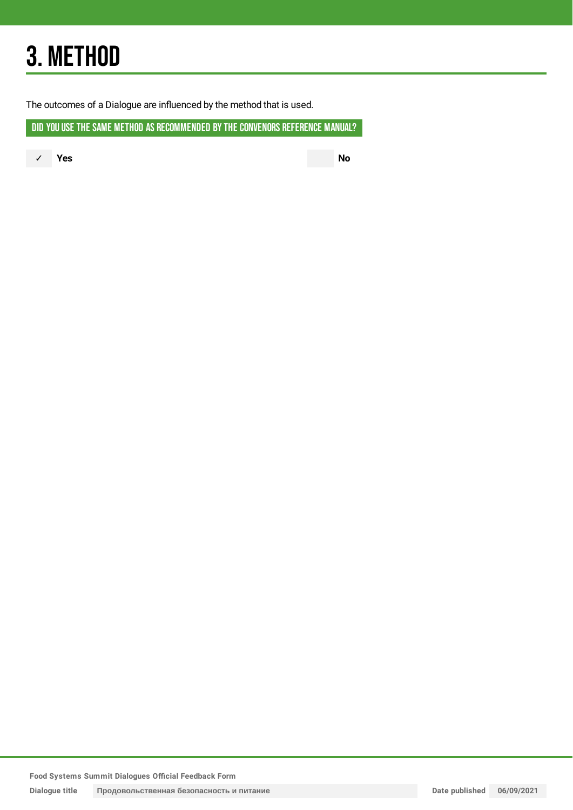## 3. METHOD

The outcomes of a Dialogue are influenced by the method that is used.

DID YOU USE THE SAME METHOD AS RECOMMENDED BY THE CONVENORS REFERENCE MANUAL?

✓ **Yes No**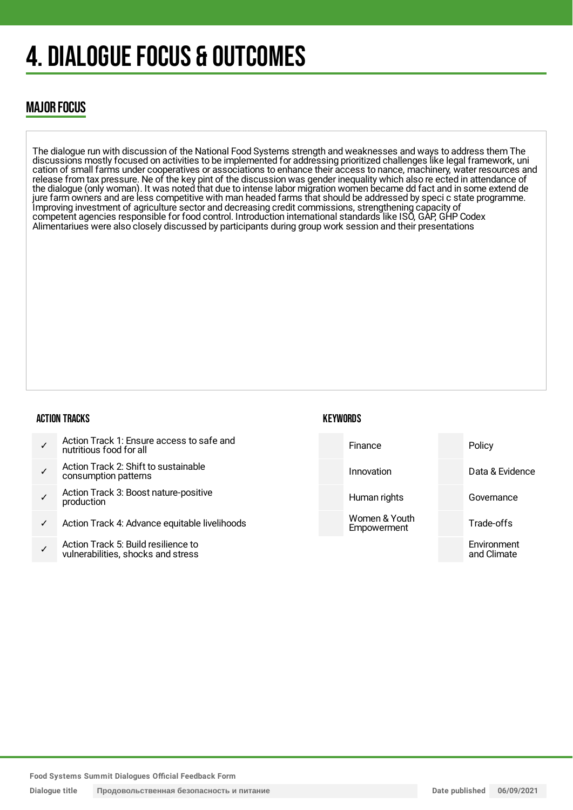## 4. DIALOGUE FOCUS & OUTCOMES

### MAJOR FOCUS

The dialogue run with discussion of the National Food Systems strength and weaknesses and ways to address them The discussions mostly focused on activities to be implemented for addressing prioritized challenges like legal framework, uni cation of small farms under cooperatives or associations to enhance their access to nance, machinery, water resources and release from tax pressure. Ne of the key pint of the discussion was gender inequality which also re ected in attendance of the dialogue (only woman). It was noted that due to intense labor migration women became dd fact and in some extend de jure farm owners and are less competitive with man headed farms that should be addressed by speci c state programme. Improving investment of agriculture sector and decreasing credit commissions, strengthening capacity of competent agencies responsible for food control. Introduction international standards like ISO, GAP, GHP Codex Alimentariues were also closely discussed by participants during group work session and their presentations

#### ACTION TRACKS

- ✓ Action Track 1: Ensure access to safe and nutritious food for all
- ✓ Action Track 2: Shift to sustainable consumption patterns
- ✓ Action Track 3: Boost nature-positive production
- ✓ Action Track 4: Advance equitable livelihoods
- ✓ Action Track 5: Build resilience to vulnerabilities, shocks and stress

#### **KEYWORDS**

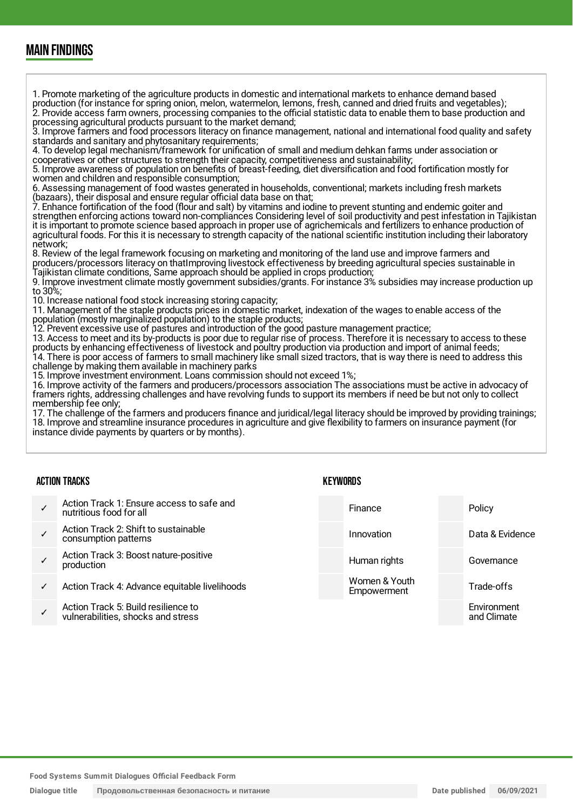### MAIN FINDINGS

1. Promote marketing of the agriculture products in domestic and international markets to enhance demand based production (for instance for spring onion, melon, watermelon, lemons, fresh, canned and dried fruits and vegetables); 2. Provide access farm owners, processing companies to the official statistic data to enable them to base production and processing agricultural products pursuant to the market demand;

3. Improve farmers and food processors literacy on finance management, national and international food quality and safety standards and sanitary and phytosanitary requirements;

4. To develop legal mechanism/framework for unification of small and medium dehkan farms under association or cooperatives or other structures to strength their capacity, competitiveness and sustainability;

5. Improve awareness of population on benefits of breast-feeding, diet diversification and food fortification mostly for women and children and responsible consumption;

6. Assessing management of food wastes generated in households, conventional; markets including fresh markets (bazaars), their disposal and ensure regular official data base on that;

7. Enhance fortification of the food (flour and salt) by vitamins and iodine to prevent stunting and endemic goiter and strengthen enforcing actions toward non-compliances Considering level of soil productivity and pest infestation in Tajikistan it is important to promote science based approach in proper use of agrichemicals and fertilizers to enhance production of agricultural foods. For this it is necessary to strength capacity of the national scientific institution including their laboratory network;

8. Review of the legal framework focusing on marketing and monitoring of the land use and improve farmers and producers/processors literacy on thatImproving livestock effectiveness by breeding agricultural species sustainable in Tajikistan climate conditions, Same approach should be applied in crops production;

9. Improve investment climate mostly government subsidies/grants. For instance 3% subsidies may increase production up to 30%;

10. Increase national food stock increasing storing capacity;

11. Management of the staple products prices in domestic market, indexation of the wages to enable access of the population (mostly marginalized population) to the staple products;

12. Prevent excessive use of pastures and introduction of the good pasture management practice;

13. Access to meet and its by-products is poor due to regular rise of process. Therefore it is necessary to access to these products by enhancing effectiveness of livestock and poultry production via production and import of animal feeds; 14. There is poor access of farmers to small machinery like small sized tractors, that is way there is need to address this challenge by making them available in machinery parks

15. Improve investment environment. Loans commission should not exceed 1%;

16. Improve activity of the farmers and producers/processors association The associations must be active in advocacy of framers rights, addressing challenges and have revolving funds to support its members if need be but not only to collect membership fee only;

17. The challenge of the farmers and producers finance and juridical/legal literacy should be improved by providing trainings; 18. Improve and streamline insurance procedures in agriculture and give flexibility to farmers on insurance payment (for instance divide payments by quarters or by months).

#### ACTION TRACKS

- ✓ Action Track 1: Ensure access to safe and nutritious food for all
- ✓ Action Track 2: Shift to sustainable consumption patterns
- ✓ Action Track 3: Boost nature-positive production
- Action Track 4: Advance equitable livelihoods
- ✓ Action Track 5: Build resilience to vulnerabilities, shocks and stress

| Finance                      | Policy                     |
|------------------------------|----------------------------|
| Innovation                   | Data & Evidence            |
| Human rights                 | Governance                 |
| Women & Youth<br>Empowerment | Trade-offs                 |
|                              | Environment<br>and Climate |

**Food Systems Summit Dialogues Official Feedback Form**

#### **KEYWORDS**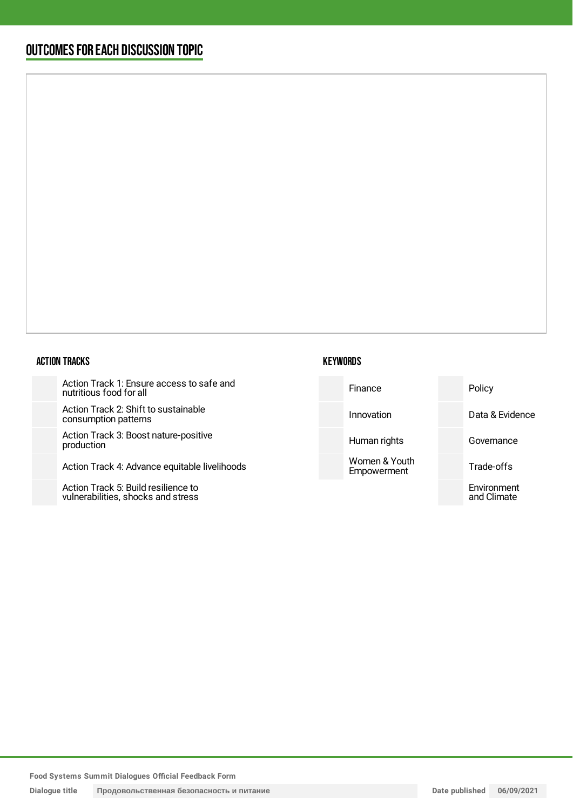### OUTCOMESFOR EACH DISCUSSION TOPIC

#### ACTION TRACKS

Action Track 1: Ensure access to safe and nutritious food for all

Action Track 2: Shift to sustainable consumption patterns

Action Track 3: Boost nature-positive production

Action Track 4: Advance equitable livelihoods

Action Track 5: Build resilience to vulnerabilities, shocks and stress

| Finance      | Policy       |
|--------------|--------------|
| Innovation   | Data & Evide |
| Human rights | Governance   |

Women & Youth Empowerment

**KEYWORDS** 

idence Trade-offs Environment and Climate